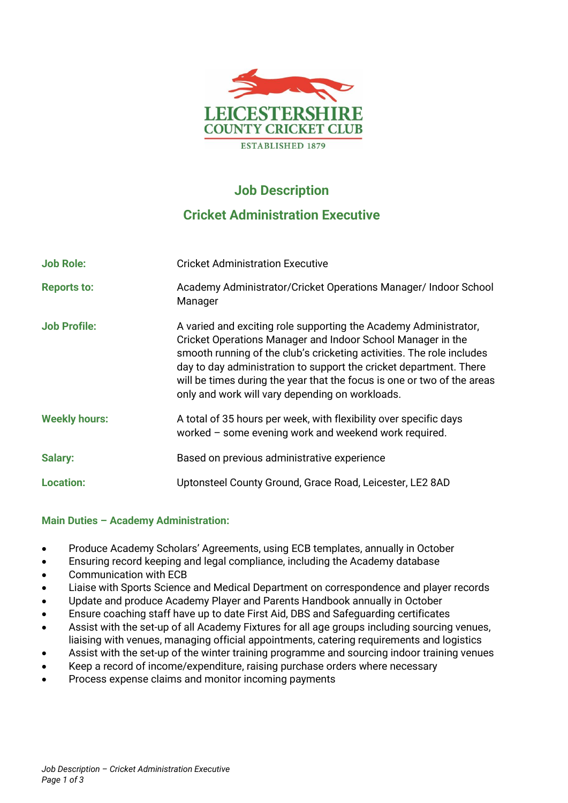

# **Job Description**

# **Cricket Administration Executive**

| <b>Job Role:</b>     | <b>Cricket Administration Executive</b>                                                                                                                                                                                                                                                                                                                                                                      |
|----------------------|--------------------------------------------------------------------------------------------------------------------------------------------------------------------------------------------------------------------------------------------------------------------------------------------------------------------------------------------------------------------------------------------------------------|
| <b>Reports to:</b>   | Academy Administrator/Cricket Operations Manager/ Indoor School<br>Manager                                                                                                                                                                                                                                                                                                                                   |
| <b>Job Profile:</b>  | A varied and exciting role supporting the Academy Administrator,<br>Cricket Operations Manager and Indoor School Manager in the<br>smooth running of the club's cricketing activities. The role includes<br>day to day administration to support the cricket department. There<br>will be times during the year that the focus is one or two of the areas<br>only and work will vary depending on workloads. |
| <b>Weekly hours:</b> | A total of 35 hours per week, with flexibility over specific days<br>worked – some evening work and weekend work required.                                                                                                                                                                                                                                                                                   |
| <b>Salary:</b>       | Based on previous administrative experience                                                                                                                                                                                                                                                                                                                                                                  |
| <b>Location:</b>     | Uptonsteel County Ground, Grace Road, Leicester, LE2 8AD                                                                                                                                                                                                                                                                                                                                                     |

## **Main Duties – Academy Administration:**

- Produce Academy Scholars' Agreements, using ECB templates, annually in October
- Ensuring record keeping and legal compliance, including the Academy database
- Communication with ECB
- Liaise with Sports Science and Medical Department on correspondence and player records
- Update and produce Academy Player and Parents Handbook annually in October
- Ensure coaching staff have up to date First Aid, DBS and Safeguarding certificates
- Assist with the set-up of all Academy Fixtures for all age groups including sourcing venues, liaising with venues, managing official appointments, catering requirements and logistics
- Assist with the set-up of the winter training programme and sourcing indoor training venues
- Keep a record of income/expenditure, raising purchase orders where necessary
- Process expense claims and monitor incoming payments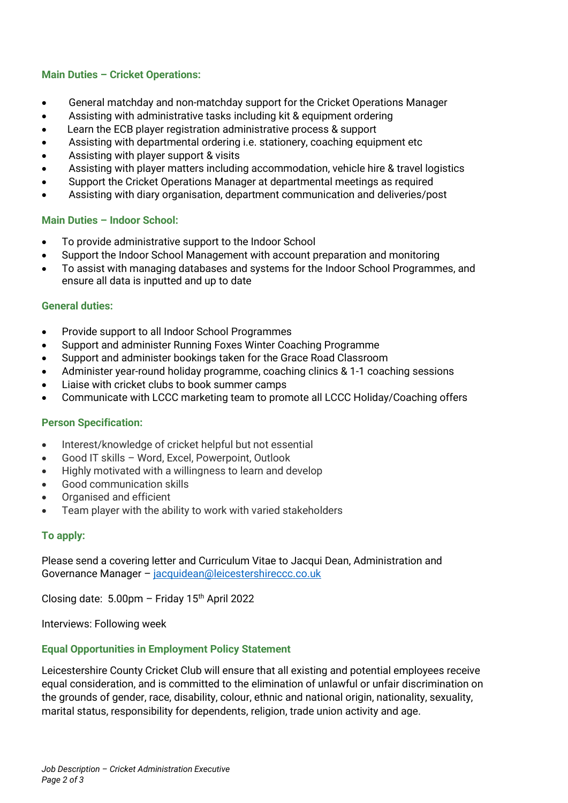## **Main Duties – Cricket Operations:**

- General matchday and non-matchday support for the Cricket Operations Manager
- Assisting with administrative tasks including kit & equipment ordering
- Learn the ECB player registration administrative process & support
- Assisting with departmental ordering i.e. stationery, coaching equipment etc
- Assisting with player support & visits
- Assisting with player matters including accommodation, vehicle hire & travel logistics
- Support the Cricket Operations Manager at departmental meetings as required
- Assisting with diary organisation, department communication and deliveries/post

## **Main Duties – Indoor School:**

- To provide administrative support to the Indoor School
- Support the Indoor School Management with account preparation and monitoring
- To assist with managing databases and systems for the Indoor School Programmes, and ensure all data is inputted and up to date

### **General duties:**

- Provide support to all Indoor School Programmes
- Support and administer Running Foxes Winter Coaching Programme
- Support and administer bookings taken for the Grace Road Classroom
- Administer year-round holiday programme, coaching clinics & 1-1 coaching sessions
- Liaise with cricket clubs to book summer camps
- Communicate with LCCC marketing team to promote all LCCC Holiday/Coaching offers

### **Person Specification:**

- Interest/knowledge of cricket helpful but not essential
- Good IT skills Word, Excel, Powerpoint, Outlook
- Highly motivated with a willingness to learn and develop
- Good communication skills
- Organised and efficient
- Team player with the ability to work with varied stakeholders

## **To apply:**

Please send a covering letter and Curriculum Vitae to Jacqui Dean, Administration and Governance Manager - [jacquidean@leicestershireccc.co.uk](mailto:jacquidean@leicestershireccc.co.uk)

Closing date:  $5.00 \text{pm}$  - Friday 15<sup>th</sup> April 2022

Interviews: Following week

### **Equal Opportunities in Employment Policy Statement**

Leicestershire County Cricket Club will ensure that all existing and potential employees receive equal consideration, and is committed to the elimination of unlawful or unfair discrimination on the grounds of gender, race, disability, colour, ethnic and national origin, nationality, sexuality, marital status, responsibility for dependents, religion, trade union activity and age.